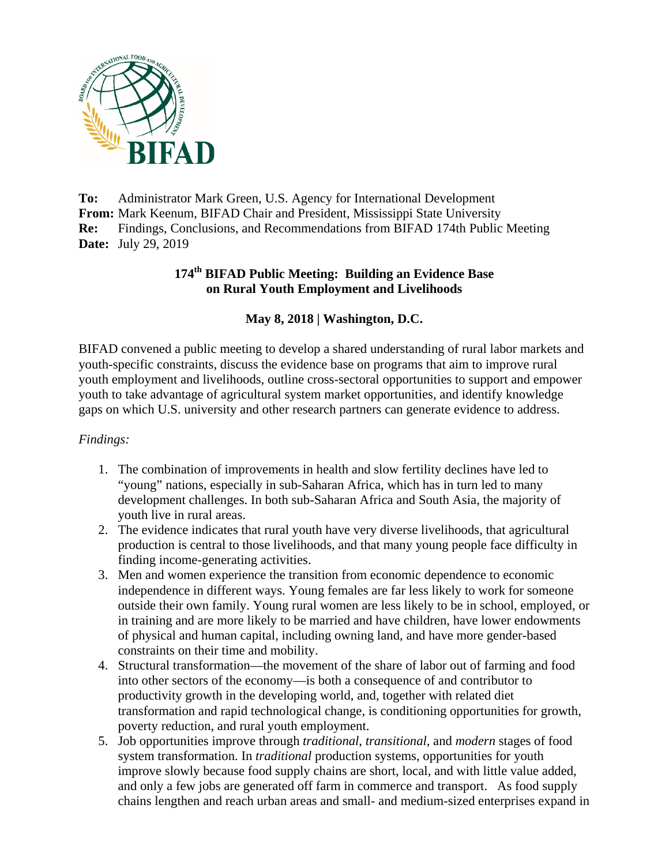

**To:** Administrator Mark Green, U.S. Agency for International Development **From:** Mark Keenum, BIFAD Chair and President, Mississippi State University **Re:** Findings, Conclusions, and Recommendations from BIFAD 174th Public Meeting **Date:** July 29, 2019

### **174th BIFAD Public Meeting: Building an Evidence Base on Rural Youth Employment and Livelihoods**

## **May 8, 2018 | Washington, D.C.**

BIFAD convened a public meeting to develop a shared understanding of rural labor markets and youth-specific constraints, discuss the evidence base on programs that aim to improve rural youth employment and livelihoods, outline cross-sectoral opportunities to support and empower youth to take advantage of agricultural system market opportunities, and identify knowledge gaps on which U.S. university and other research partners can generate evidence to address.

#### *Findings:*

- 1. The combination of improvements in health and slow fertility declines have led to "young" nations, especially in sub-Saharan Africa, which has in turn led to many development challenges. In both sub-Saharan Africa and South Asia, the majority of youth live in rural areas.
- 2. The evidence indicates that rural youth have very diverse livelihoods, that agricultural production is central to those livelihoods, and that many young people face difficulty in finding income-generating activities.
- 3. Men and women experience the transition from economic dependence to economic independence in different ways. Young females are far less likely to work for someone outside their own family. Young rural women are less likely to be in school, employed, or in training and are more likely to be married and have children, have lower endowments of physical and human capital, including owning land, and have more gender-based constraints on their time and mobility.
- 4. Structural transformation—the movement of the share of labor out of farming and food into other sectors of the economy—is both a consequence of and contributor to productivity growth in the developing world, and, together with related diet transformation and rapid technological change, is conditioning opportunities for growth, poverty reduction, and rural youth employment.
- 5. Job opportunities improve through *traditional*, *transitional*, and *modern* stages of food system transformation. In *traditional* production systems, opportunities for youth improve slowly because food supply chains are short, local, and with little value added, and only a few jobs are generated off farm in commerce and transport. As food supply chains lengthen and reach urban areas and small- and medium-sized enterprises expand in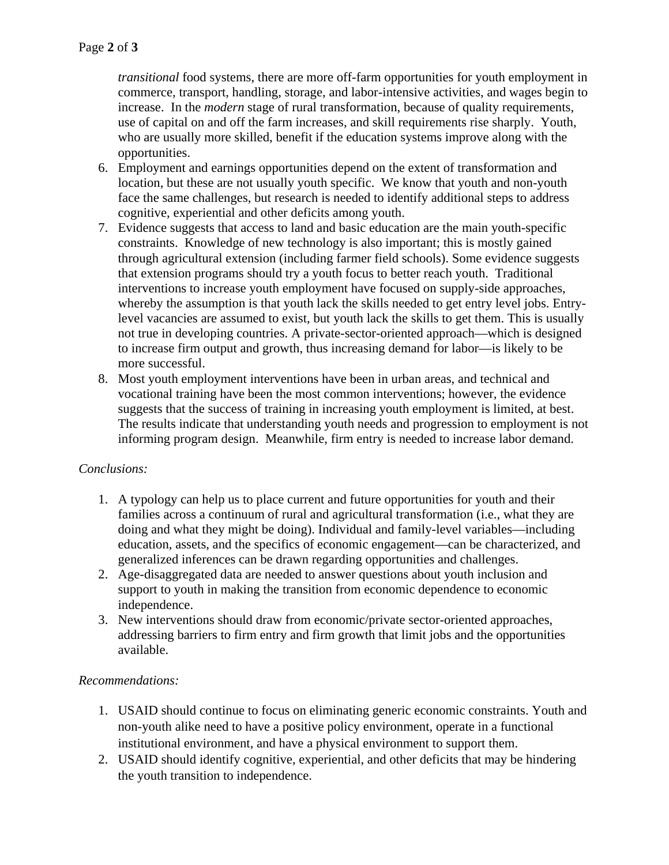*transitional* food systems, there are more off-farm opportunities for youth employment in commerce, transport, handling, storage, and labor-intensive activities, and wages begin to increase. In the *modern* stage of rural transformation, because of quality requirements, use of capital on and off the farm increases, and skill requirements rise sharply. Youth, who are usually more skilled, benefit if the education systems improve along with the opportunities.

- 6. Employment and earnings opportunities depend on the extent of transformation and location, but these are not usually youth specific. We know that youth and non-youth face the same challenges, but research is needed to identify additional steps to address cognitive, experiential and other deficits among youth.
- 7. Evidence suggests that access to land and basic education are the main youth-specific constraints. Knowledge of new technology is also important; this is mostly gained through agricultural extension (including farmer field schools). Some evidence suggests that extension programs should try a youth focus to better reach youth. Traditional interventions to increase youth employment have focused on supply-side approaches, whereby the assumption is that youth lack the skills needed to get entry level jobs. Entrylevel vacancies are assumed to exist, but youth lack the skills to get them. This is usually not true in developing countries. A private-sector-oriented approach—which is designed to increase firm output and growth, thus increasing demand for labor—is likely to be more successful.
- 8. Most youth employment interventions have been in urban areas, and technical and vocational training have been the most common interventions; however, the evidence suggests that the success of training in increasing youth employment is limited, at best. The results indicate that understanding youth needs and progression to employment is not informing program design. Meanwhile, firm entry is needed to increase labor demand.

# *Conclusions:*

- 1. A typology can help us to place current and future opportunities for youth and their families across a continuum of rural and agricultural transformation (i.e., what they are doing and what they might be doing). Individual and family-level variables—including education, assets, and the specifics of economic engagement—can be characterized, and generalized inferences can be drawn regarding opportunities and challenges.
- 2. Age-disaggregated data are needed to answer questions about youth inclusion and support to youth in making the transition from economic dependence to economic independence.
- 3. New interventions should draw from economic/private sector-oriented approaches, addressing barriers to firm entry and firm growth that limit jobs and the opportunities available.

#### *Recommendations:*

- 1. USAID should continue to focus on eliminating generic economic constraints. Youth and non-youth alike need to have a positive policy environment, operate in a functional institutional environment, and have a physical environment to support them.
- 2. USAID should identify cognitive, experiential, and other deficits that may be hindering the youth transition to independence.